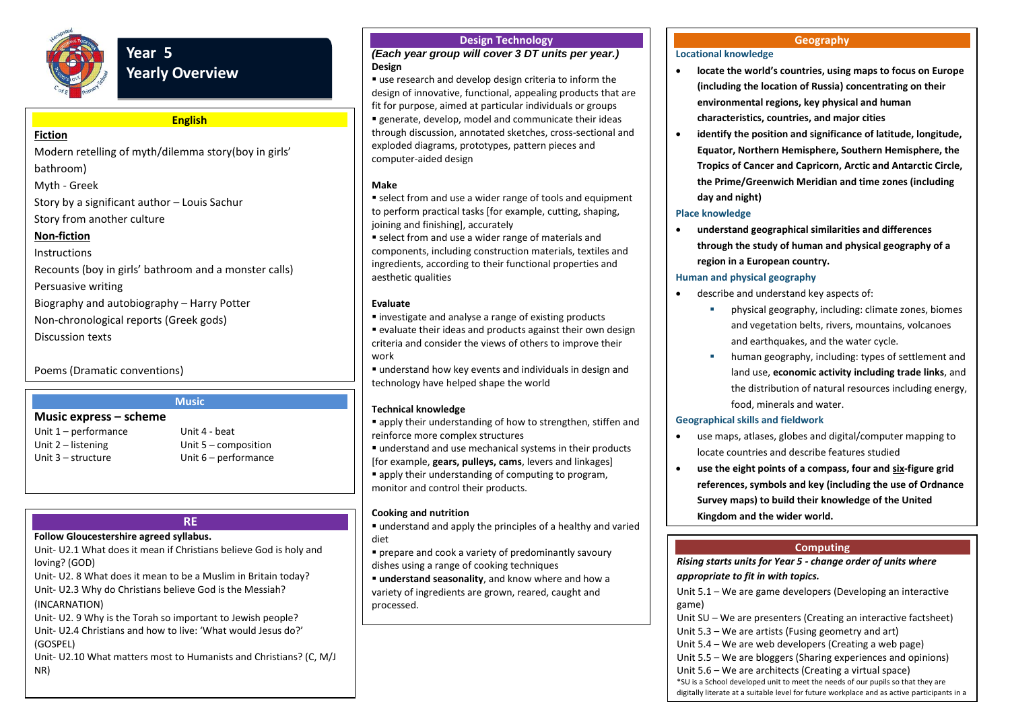

# **Year 5 Yearly Overview**

#### **English**

**Fiction**

Modern retelling of myth/dilemma story(boy in girls' bathroom)

Myth - Greek

Story by a significant author – Louis Sachur

Story from another culture

# **Non-fiction**

Instructions

Recounts (boy in girls' bathroom and a monster calls)

Persuasive writing

Biography and autobiography – Harry Potter Non-chronological reports (Greek gods) Discussion texts

Poems (Dramatic conventions)

## **Music**

#### **Music express – scheme**  Unit 1 – performance

Unit 2 – listening Unit 3 – structure Unit 4 - beat Unit 5 – composition Unit 6 – performance

## **Follow Gloucestershire agreed syllabus.**

Unit- U2.1 What does it mean if Christians believe God is holy and loving? (GOD)

Unit- U2. 8 What does it mean to be a Muslim in Britain today?

- Unit- U2.3 Why do Christians believe God is the Messiah?
- (INCARNATION)

Unit- U2. 9 Why is the Torah so important to Jewish people? Unit- U2.4 Christians and how to live: 'What would Jesus do?' (GOSPEL)

Unit- U2.10 What matters most to Humanists and Christians? (C, M/J NR)

# **Design Technology**

#### *(Each year group will cover 3 DT units per year.)* **Design**

 use research and develop design criteria to inform the design of innovative, functional, appealing products that are fit for purpose, aimed at particular individuals or groups **generate, develop, model and communicate their ideas** through discussion, annotated sketches, cross-sectional and exploded diagrams, prototypes, pattern pieces and computer-aided design

# **Make**

 select from and use a wider range of tools and equipment to perform practical tasks [for example, cutting, shaping, joining and finishing], accurately

 select from and use a wider range of materials and components, including construction materials, textiles and ingredients, according to their functional properties and aesthetic qualities

# **Evaluate**

investigate and analyse a range of existing products

 evaluate their ideas and products against their own design criteria and consider the views of others to improve their work

 understand how key events and individuals in design and technology have helped shape the world

# **Technical knowledge**

 apply their understanding of how to strengthen, stiffen and reinforce more complex structures

 understand and use mechanical systems in their products [for example, **gears, pulleys, cams**, levers and linkages] **apply their understanding of computing to program,** monitor and control their products.

# **Cooking and nutrition**

 understand and apply the principles of a healthy and varied **Kingdom and the wider world. RE** diet

> **P** prepare and cook a variety of predominantly savoury dishes using a range of cooking techniques

> **understand seasonality**, and know where and how a variety of ingredients are grown, reared, caught and processed.

# **Geography**

## **Locational knowledge**

- **locate the world's countries, using maps to focus on Europe (including the location of Russia) concentrating on their environmental regions, key physical and human characteristics, countries, and major cities**
- **identify the position and significance of latitude, longitude, Equator, Northern Hemisphere, Southern Hemisphere, the Tropics of Cancer and Capricorn, Arctic and Antarctic Circle, the Prime/Greenwich Meridian and time zones (including day and night)**

## **Place knowledge**

 **understand geographical similarities and differences through the study of human and physical geography of a region in a European country.**

# **Human and physical geography**

- describe and understand key aspects of:
	- physical geography, including: climate zones, biomes and vegetation belts, rivers, mountains, volcanoes and earthquakes, and the water cycle.
	- **•** human geography, including: types of settlement and land use, **economic activity including trade links**, and the distribution of natural resources including energy, food, minerals and water.

# **Geographical skills and fieldwork**

- use maps, atlases, globes and digital/computer mapping to locate countries and describe features studied
- **use the eight points of a compass, four and six-figure grid references, symbols and key (including the use of Ordnance Survey maps) to build their knowledge of the United**

# **Computing**

*Rising starts units for Year 5 - change order of units where appropriate to fit in with topics.*

- Unit 5.1 We are game developers (Developing an interactive game)
- Unit SU We are presenters (Creating an interactive factsheet)
- Unit 5.3 We are artists (Fusing geometry and art)
- Unit 5.4 We are web developers (Creating a web page)
- Unit 5.5 We are bloggers (Sharing experiences and opinions)
- Unit 5.6 We are architects (Creating a virtual space)

digital world.

\*SU is a School developed unit to meet the needs of our pupils so that they are digitally literate at a suitable level for future workplace and as active participants in a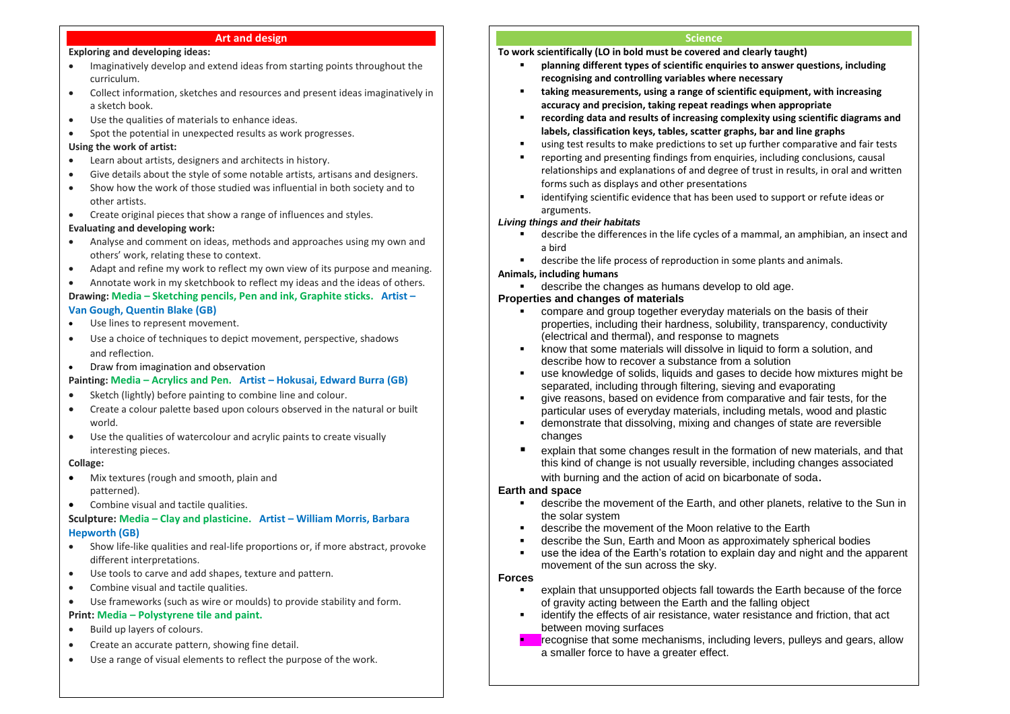#### **Art and design**

#### **Exploring and developing ideas:**

- Imaginatively develop and extend ideas from starting points throughout the curriculum.
- Collect information, sketches and resources and present ideas imaginatively in a sketch book.
- Use the qualities of materials to enhance ideas.
- Spot the potential in unexpected results as work progresses.

#### **Using the work of artist:**

- Learn about artists, designers and architects in history.
- Give details about the style of some notable artists, artisans and designers.
- Show how the work of those studied was influential in both society and to other artists.
- Create original pieces that show a range of influences and styles.

#### **Evaluating and developing work:**

- Analyse and comment on ideas, methods and approaches using my own and others' work, relating these to context.
- Adapt and refine my work to reflect my own view of its purpose and meaning.
- Annotate work in my sketchbook to reflect my ideas and the ideas of others.

#### **Drawing: Media – Sketching pencils, Pen and ink, Graphite sticks. Artist – Van Gough, Quentin Blake (GB)**

- Use lines to represent movement.
- Use a choice of techniques to depict movement, perspective, shadows and reflection.
- Draw from imagination and observation

## **Painting: Media – Acrylics and Pen. Artist – Hokusai, Edward Burra (GB)**

- Sketch (lightly) before painting to combine line and colour.
- Create a colour palette based upon colours observed in the natural or built world.
- Use the qualities of watercolour and acrylic paints to create visually interesting pieces.

#### **Collage:**

- Mix textures (rough and smooth, plain and patterned).
- Combine visual and tactile qualities.

#### **Sculpture: Media – Clay and plasticine. Artist – William Morris, Barbara Hepworth (GB)**

- Show life-like qualities and real-life proportions or, if more abstract, provoke different interpretations.
- Use tools to carve and add shapes, texture and pattern.
- Combine visual and tactile qualities.
- Use frameworks (such as wire or moulds) to provide stability and form.

## **Print: Media – Polystyrene tile and paint.**

- Build up layers of colours.
- Create an accurate pattern, showing fine detail.
- Use a range of visual elements to reflect the purpose of the work.

#### **Science**

**To work scientifically (LO in bold must be covered and clearly taught)** 

- **planning different types of scientific enquiries to answer questions, including recognising and controlling variables where necessary**
- **taking measurements, using a range of scientific equipment, with increasing accuracy and precision, taking repeat readings when appropriate**
- **recording data and results of increasing complexity using scientific diagrams and labels, classification keys, tables, scatter graphs, bar and line graphs**
- using test results to make predictions to set up further comparative and fair tests
- reporting and presenting findings from enquiries, including conclusions, causal relationships and explanations of and degree of trust in results, in oral and written forms such as displays and other presentations
- identifying scientific evidence that has been used to support or refute ideas or arguments.

#### *Living things and their habitats*

- describe the differences in the life cycles of a mammal, an amphibian, an insect and a bird
- describe the life process of reproduction in some plants and animals.

#### **Animals, including humans**

describe the changes as humans develop to old age.

#### **Properties and changes of materials**

- compare and group together everyday materials on the basis of their properties, including their hardness, solubility, transparency, conductivity (electrical and thermal), and response to magnets
- know that some materials will dissolve in liquid to form a solution, and describe how to recover a substance from a solution
- use knowledge of solids, liquids and gases to decide how mixtures might be separated, including through filtering, sieving and evaporating
- give reasons, based on evidence from comparative and fair tests, for the particular uses of everyday materials, including metals, wood and plastic
- demonstrate that dissolving, mixing and changes of state are reversible changes
- explain that some changes result in the formation of new materials, and that this kind of change is not usually reversible, including changes associated with burning and the action of acid on bicarbonate of soda.

#### **Earth and space**

- describe the movement of the Earth, and other planets, relative to the Sun in the solar system
- describe the movement of the Moon relative to the Earth
- describe the Sun, Earth and Moon as approximately spherical bodies
- use the idea of the Earth's rotation to explain day and night and the apparent movement of the sun across the sky.

#### **Forces**

- explain that unsupported objects fall towards the Earth because of the force of gravity acting between the Earth and the falling object
- identify the effects of air resistance, water resistance and friction, that act between moving surfaces
- recognise that some mechanisms, including levers, pulleys and gears, allow a smaller force to have a greater effect.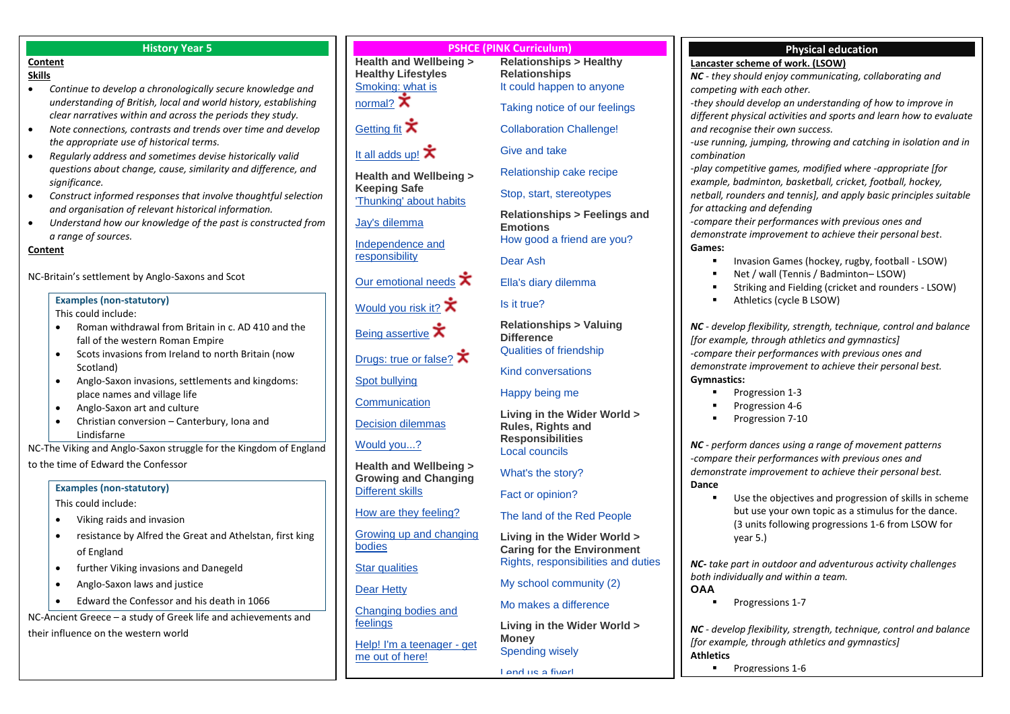#### **History Year 5**

#### **Content Skills**

- *Continue to develop a chronologically secure knowledge and understanding of British, local and world history, establishing clear narratives within and across the periods they study.*
- *Note connections, contrasts and trends over time and develop the appropriate use of historical terms.*
- *Regularly address and sometimes devise historically valid questions about change, cause, similarity and difference, and significance.*
- *Construct informed responses that involve thoughtful selection and organisation of relevant historical information.*
- *Understand how our knowledge of the past is constructed from a range of sources.*

#### **Content**

#### NC-Britain's settlement by Anglo-Saxons and Scot

#### **Examples (non-statutory)**

This could include:

- Roman withdrawal from Britain in c. AD 410 and the fall of the western Roman Empire
- Scots invasions from Ireland to north Britain (now Scotland)
- Anglo-Saxon invasions, settlements and kingdoms: place names and village life
- Anglo-Saxon art and culture
- Christian conversion Canterbury, Iona and Lindisfarne

NC-The Viking and Anglo-Saxon struggle for the Kingdom of England

to the time of Edward the Confessor

#### **Examples (non-statutory)**

This could include:

- Viking raids and invasion
- resistance by Alfred the Great and Athelstan, first king of England
- further Viking invasions and Danegeld
- Anglo-Saxon laws and justice
- Edward the Confessor and his death in 1066

NC-Ancient Greece – a study of Greek life and achievements and their influence on the western world

#### **PSHCE (PINK Curriculum)**

**Health and Wellbeing > Healthy Lifestyles** [Smoking: what is](https://www.coramlifeeducation.org.uk/scarf/lesson-plans/smoking-what-is-normal-1)  [normal?](https://www.coramlifeeducation.org.uk/scarf/lesson-plans/smoking-what-is-normal-1)  $\mathbf{\dot{x}}$ 



# [It all adds up!](https://www.coramlifeeducation.org.uk/scarf/lesson-plans/it-all-adds-up-1)  $\mathbf{\dot{x}}$

**Health and Wellbeing > Keeping Safe** ['Thunking' about habits](https://www.coramlifeeducation.org.uk/scarf/lesson-plans/thunking-about-habits)

#### [Jay's dilemma](https://www.coramlifeeducation.org.uk/scarf/lesson-plans/jays-dilemma-1)

[Independence and](https://www.coramlifeeducation.org.uk/scarf/lesson-plans/independence-and-responsibility)  [responsibility](https://www.coramlifeeducation.org.uk/scarf/lesson-plans/independence-and-responsibility)

[Our emotional needs](https://www.coramlifeeducation.org.uk/scarf/lesson-plans/our-emotional-needs)  $\mathbf{\dot{x}}$ 



[Being assertive](https://www.coramlifeeducation.org.uk/scarf/lesson-plans/being-assertive) [Drugs: true or false?](https://www.coramlifeeducation.org.uk/scarf/lesson-plans/drugs-true-or-false-1) ★

[Spot bullying](https://www.coramlifeeducation.org.uk/scarf/lesson-plans/spot-bullying)

**[Communication](https://www.coramlifeeducation.org.uk/scarf/lesson-plans/communication)** 

[Decision dilemmas](https://www.coramlifeeducation.org.uk/scarf/lesson-plans/decision-dilemmas)

#### [Would you...?](https://www.coramlifeeducation.org.uk/scarf/lesson-plans/would-you)

**Health and Wellbeing > Growing and Changing** [Different skills](https://www.coramlifeeducation.org.uk/scarf/lesson-plans/different-skills)

[How are they feeling?](https://www.coramlifeeducation.org.uk/scarf/lesson-plans/how-are-they-feeling-1)

[Growing up and changing](https://www.coramlifeeducation.org.uk/scarf/lesson-plans/growing-up-and-changing-bodies-1)  [bodies](https://www.coramlifeeducation.org.uk/scarf/lesson-plans/growing-up-and-changing-bodies-1)

[Star qualities](https://www.coramlifeeducation.org.uk/scarf/lesson-plans/star-qualities)

[Dear Hetty](https://www.coramlifeeducation.org.uk/scarf/lesson-plans/dear-hetty-1)

[Changing bodies and](https://www.coramlifeeducation.org.uk/scarf/lesson-plans/changing-bodies-and-feelings)  [feelings](https://www.coramlifeeducation.org.uk/scarf/lesson-plans/changing-bodies-and-feelings)

[Help! I'm a teenager -](https://www.coramlifeeducation.org.uk/scarf/lesson-plans/help-im-a-teenager--get-me-out-of-here) get

[me out of here!](https://www.coramlifeeducation.org.uk/scarf/lesson-plans/help-im-a-teenager--get-me-out-of-here)

**Relationships > Healthy Relationships** [It could happen to anyone](https://www.coramlifeeducation.org.uk/scarf/lesson-plans/it-could-happen-to-anyone)

[Collaboration Challenge!](https://www.coramlifeeducation.org.uk/scarf/lesson-plans/collaboration-challenge)

[Taking notice of our feelings](https://www.coramlifeeducation.org.uk/scarf/lesson-plans/taking-notice-of-our-feelings)

[Give and take](https://www.coramlifeeducation.org.uk/scarf/lesson-plans/give-and-take-1)

[Relationship cake recipe](https://www.coramlifeeducation.org.uk/scarf/lesson-plans/relationship-cake-recipe)

[Stop, start, stereotypes](https://www.coramlifeeducation.org.uk/scarf/lesson-plans/stop-start-stereotypes)

**Relationships > Feelings and Emotions** [How good a friend are you?](https://www.coramlifeeducation.org.uk/scarf/lesson-plans/how-good-a-friend-are-you)

[Dear Ash](https://www.coramlifeeducation.org.uk/scarf/lesson-plans/dear-ash-1)

[Ella's diary dilemma](https://www.coramlifeeducation.org.uk/scarf/lesson-plans/ellas-diary-dilemma)

[Is it true?](https://www.coramlifeeducation.org.uk/scarf/lesson-plans/is-it-true)

**Relationships > Valuing Difference** [Qualities of friendship](https://www.coramlifeeducation.org.uk/scarf/lesson-plans/qualities-of-friendship)

[Kind conversations](https://www.coramlifeeducation.org.uk/scarf/lesson-plans/kind-conversations-1)

#### [Happy being me](https://www.coramlifeeducation.org.uk/scarf/lesson-plans/happy-being-me)

**Living in the Wider World > Rules, Rights and Responsibilities** [Local councils](https://www.coramlifeeducation.org.uk/scarf/lesson-plans/local-councils)

[What's the story?](https://www.coramlifeeducation.org.uk/scarf/lesson-plans/whats-the-story)

[Fact or opinion?](https://www.coramlifeeducation.org.uk/scarf/lesson-plans/fact-or-opinion)

[The land of the Red People](https://www.coramlifeeducation.org.uk/scarf/lesson-plans/the-land-of-the-red-people)

**Living in the Wider World > Caring for the Environment** [Rights, responsibilities and duties](https://www.coramlifeeducation.org.uk/scarf/lesson-plans/rights-responsibilities-and-duties)

[My school community \(2\)](https://www.coramlifeeducation.org.uk/scarf/lesson-plans/my-school-community-2)

[Mo makes a difference](https://www.coramlifeeducation.org.uk/scarf/lesson-plans/mo-makes-a-difference)

**Living in the Wider World > Money** [Spending wisely](https://www.coramlifeeducation.org.uk/scarf/lesson-plans/spending-wisely)

[Lend us a fiver!](https://www.coramlifeeducation.org.uk/scarf/lesson-plans/lend-us-a-fiver)

# **Physical education**

**Lancaster scheme of work. (LSOW)**

*NC - they should enjoy communicating, collaborating and competing with each other.* 

*-they should develop an understanding of how to improve in different physical activities and sports and learn how to evaluate and recognise their own success.*

*-use running, jumping, throwing and catching in isolation and in combination* 

*-play competitive games, modified where -appropriate [for example, badminton, basketball, cricket, football, hockey, netball, rounders and tennis], and apply basic principles suitable for attacking and defending* 

*-compare their performances with previous ones and demonstrate improvement to achieve their personal best*. **Games:**

- Invasion Games (hockey, rugby, football LSOW)
- Net / wall (Tennis / Badminton– LSOW)
- Striking and Fielding (cricket and rounders LSOW)
- Athletics (cycle B LSOW)

*NC - develop flexibility, strength, technique, control and balance [for example, through athletics and gymnastics] -compare their performances with previous ones and demonstrate improvement to achieve their personal best.*  **Gymnastics:**

- Progression 1-3
- Progression 4-6
- Progression 7-10

*NC - perform dances using a range of movement patterns -compare their performances with previous ones and demonstrate improvement to achieve their personal best.*  **Dance**

 Use the objectives and progression of skills in scheme but use your own topic as a stimulus for the dance. (3 units following progressions 1-6 from LSOW for year 5.)

*NC- take part in outdoor and adventurous activity challenges both individually and within a team.*  **OAA**

Progressions 1-7

*NC - develop flexibility, strength, technique, control and balance [for example, through athletics and gymnastics]*  **Athletics**

**Progressions 1-6**